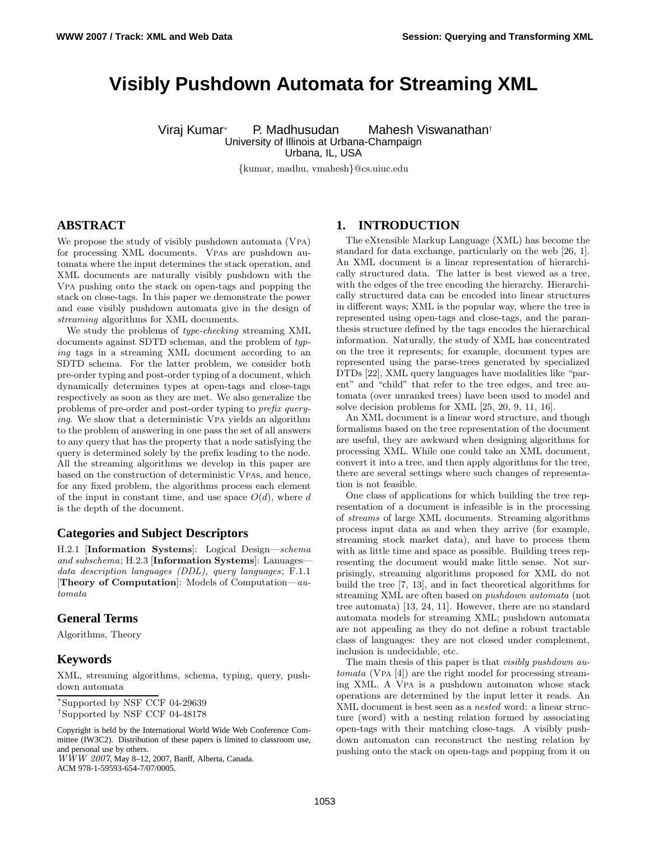# **Visibly Pushdown Automata for Streaming XML**

Viraj Kumar<sup>∗</sup> P. Madhusudan Mahesh Viswanathan† University of Illinois at Urbana-Champaign Urbana, IL, USA

{kumar, madhu, vmahesh}@cs.uiuc.edu

# **ABSTRACT**

We propose the study of visibly pushdown automata (Vpa) for processing XML documents. Vpas are pushdown automata where the input determines the stack operation, and XML documents are naturally visibly pushdown with the Vpa pushing onto the stack on open-tags and popping the stack on close-tags. In this paper we demonstrate the power and ease visibly pushdown automata give in the design of streaming algorithms for XML documents.

We study the problems of type-checking streaming XML documents against SDTD schemas, and the problem of typing tags in a streaming XML document according to an SDTD schema. For the latter problem, we consider both pre-order typing and post-order typing of a document, which dynamically determines types at open-tags and close-tags respectively as soon as they are met. We also generalize the problems of pre-order and post-order typing to prefix querying. We show that a deterministic Vpa yields an algorithm to the problem of answering in one pass the set of all answers to any query that has the property that a node satisfying the query is determined solely by the prefix leading to the node. All the streaming algorithms we develop in this paper are based on the construction of deterministic Vpas, and hence, for any fixed problem, the algorithms process each element of the input in constant time, and use space  $O(d)$ , where d is the depth of the document.

#### **Categories and Subject Descriptors**

H.2.1 [Information Systems]: Logical Design—schema and subschema; H.2.3 [Information Systems]: Lanuages data description languages (DDL), query languages; F.1.1 [Theory of Computation]: Models of Computation—automata

#### **General Terms**

Algorithms, Theory

## **Keywords**

XML, streaming algorithms, schema, typing, query, pushdown automata

<sup>∗</sup>Supported by NSF CCF 04-29639

† Supported by NSF CCF 04-48178

Copyright is held by the International World Wide Web Conference Committee (IW3C2). Distribution of these papers is limited to classroom use, and personal use by others.

 $WWW$  2007, May 8-12, 2007, Banff, Alberta, Canada. ACM 978-1-59593-654-7/07/0005.

# **1. INTRODUCTION**

The eXtensible Markup Language (XML) has become the standard for data exchange, particularly on the web [26, 1]. An XML document is a linear representation of hierarchically structured data. The latter is best viewed as a tree, with the edges of the tree encoding the hierarchy. Hierarchically structured data can be encoded into linear structures in different ways; XML is the popular way, where the tree is represented using open-tags and close-tags, and the paranthesis structure defined by the tags encodes the hierarchical information. Naturally, the study of XML has concentrated on the tree it represents; for example, document types are represented using the parse-trees generated by specialized DTDs [22], XML query languages have modalities like "parent" and "child" that refer to the tree edges, and tree automata (over unranked trees) have been used to model and solve decision problems for XML [25, 20, 9, 11, 16].

An XML document is a linear word structure, and though formalisms based on the tree representation of the document are useful, they are awkward when designing algorithms for processing XML. While one could take an XML document, convert it into a tree, and then apply algorithms for the tree, there are several settings where such changes of representation is not feasible.

One class of applications for which building the tree representation of a document is infeasible is in the processing of streams of large XML documents. Streaming algorithms process input data as and when they arrive (for example, streaming stock market data), and have to process them with as little time and space as possible. Building trees representing the document would make little sense. Not surprisingly, streaming algorithms proposed for XML do not build the tree [7, 13], and in fact theoretical algorithms for streaming XML are often based on pushdown automata (not tree automata) [13, 24, 11]. However, there are no standard automata models for streaming XML; pushdown automata are not appealing as they do not define a robust tractable class of languages: they are not closed under complement, inclusion is undecidable, etc.

The main thesis of this paper is that *visibly pushdown au*tomata (Vpa [4]) are the right model for processing streaming XML. A Vpa is a pushdown automaton whose stack operations are determined by the input letter it reads. An XML document is best seen as a nested word: a linear structure (word) with a nesting relation formed by associating open-tags with their matching close-tags. A visibly pushdown automaton can reconstruct the nesting relation by pushing onto the stack on open-tags and popping from it on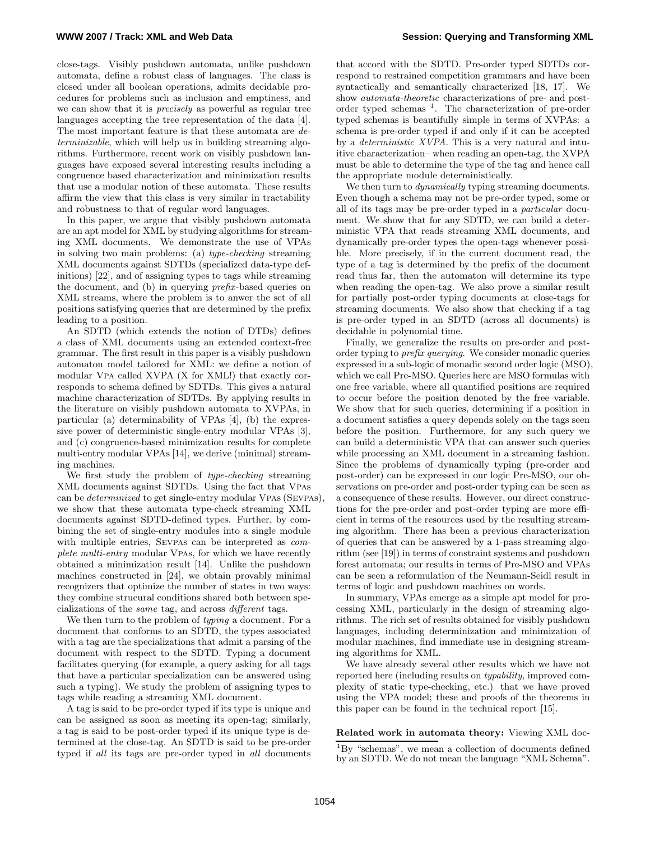close-tags. Visibly pushdown automata, unlike pushdown automata, define a robust class of languages. The class is closed under all boolean operations, admits decidable procedures for problems such as inclusion and emptiness, and we can show that it is precisely as powerful as regular tree languages accepting the tree representation of the data [4]. The most important feature is that these automata are determinizable, which will help us in building streaming algorithms. Furthermore, recent work on visibly pushdown languages have exposed several interesting results including a congruence based characterization and minimization results that use a modular notion of these automata. These results affirm the view that this class is very similar in tractability and robustness to that of regular word languages.

In this paper, we argue that visibly pushdown automata are an apt model for XML by studying algorithms for streaming XML documents. We demonstrate the use of VPAs in solving two main problems: (a) type-checking streaming XML documents against SDTDs (specialized data-type definitions) [22], and of assigning types to tags while streaming the document, and (b) in querying prefix-based queries on XML streams, where the problem is to anwer the set of all positions satisfying queries that are determined by the prefix leading to a position.

An SDTD (which extends the notion of DTDs) defines a class of XML documents using an extended context-free grammar. The first result in this paper is a visibly pushdown automaton model tailored for XML: we define a notion of modular Vpa called XVPA (X for XML!) that exactly corresponds to schema defined by SDTDs. This gives a natural machine characterization of SDTDs. By applying results in the literature on visibly pushdown automata to XVPAs, in particular (a) determinability of VPAs [4], (b) the expressive power of deterministic single-entry modular VPAs [3], and (c) congruence-based minimization results for complete multi-entry modular VPAs [14], we derive (minimal) streaming machines.

We first study the problem of *type-checking* streaming XML documents against SDTDs. Using the fact that Vpas can be determinized to get single-entry modular Vpas (Sevpas), we show that these automata type-check streaming XML documents against SDTD-defined types. Further, by combining the set of single-entry modules into a single module with multiple entries, Sevpas can be interpreted as complete multi-entry modular Vpas, for which we have recently obtained a minimization result [14]. Unlike the pushdown machines constructed in [24], we obtain provably minimal recognizers that optimize the number of states in two ways: they combine strucural conditions shared both between specializations of the same tag, and across different tags.

We then turn to the problem of *typing* a document. For a document that conforms to an SDTD, the types associated with a tag are the specializations that admit a parsing of the document with respect to the SDTD. Typing a document facilitates querying (for example, a query asking for all tags that have a particular specialization can be answered using such a typing). We study the problem of assigning types to tags while reading a streaming XML document.

A tag is said to be pre-order typed if its type is unique and can be assigned as soon as meeting its open-tag; similarly, a tag is said to be post-order typed if its unique type is determined at the close-tag. An SDTD is said to be pre-order typed if all its tags are pre-order typed in all documents that accord with the SDTD. Pre-order typed SDTDs correspond to restrained competition grammars and have been syntactically and semantically characterized [18, 17]. We show automata-theoretic characterizations of pre- and postorder typed schemas<sup>1</sup>. The characterization of pre-order typed schemas is beautifully simple in terms of XVPAs: a schema is pre-order typed if and only if it can be accepted by a deterministic XVPA. This is a very natural and intuitive characterization– when reading an open-tag, the XVPA must be able to determine the type of the tag and hence call the appropriate module deterministically.

We then turn to *dynamically* typing streaming documents. Even though a schema may not be pre-order typed, some or all of its tags may be pre-order typed in a particular document. We show that for any SDTD, we can build a deterministic VPA that reads streaming XML documents, and dynamically pre-order types the open-tags whenever possible. More precisely, if in the current document read, the type of a tag is determined by the prefix of the document read thus far, then the automaton will determine its type when reading the open-tag. We also prove a similar result for partially post-order typing documents at close-tags for streaming documents. We also show that checking if a tag is pre-order typed in an SDTD (across all documents) is decidable in polynomial time.

Finally, we generalize the results on pre-order and postorder typing to prefix querying. We consider monadic queries expressed in a sub-logic of monadic second order logic (MSO), which we call Pre-MSO. Queries here are MSO formulas with one free variable, where all quantified positions are required to occur before the position denoted by the free variable. We show that for such queries, determining if a position in a document satisfies a query depends solely on the tags seen before the position. Furthermore, for any such query we can build a deterministic VPA that can answer such queries while processing an XML document in a streaming fashion. Since the problems of dynamically typing (pre-order and post-order) can be expressed in our logic Pre-MSO, our observations on pre-order and post-order typing can be seen as a consequence of these results. However, our direct constructions for the pre-order and post-order typing are more efficient in terms of the resources used by the resulting streaming algorithm. There has been a previous characterization of queries that can be answered by a 1-pass streaming algorithm (see [19]) in terms of constraint systems and pushdown forest automata; our results in terms of Pre-MSO and VPAs can be seen a reformulation of the Neumann-Seidl result in terms of logic and pushdown machines on words.

In summary, VPAs emerge as a simple apt model for processing XML, particularly in the design of streaming algorithms. The rich set of results obtained for visibly pushdown languages, including determinization and minimization of modular machines, find immediate use in designing streaming algorithms for XML.

We have already several other results which we have not reported here (including results on typability, improved complexity of static type-checking, etc.) that we have proved using the VPA model; these and proofs of the theorems in this paper can be found in the technical report [15].

Related work in automata theory: Viewing XML doc-

<sup>&</sup>lt;sup>1</sup>By "schemas", we mean a collection of documents defined by an SDTD. We do not mean the language "XML Schema".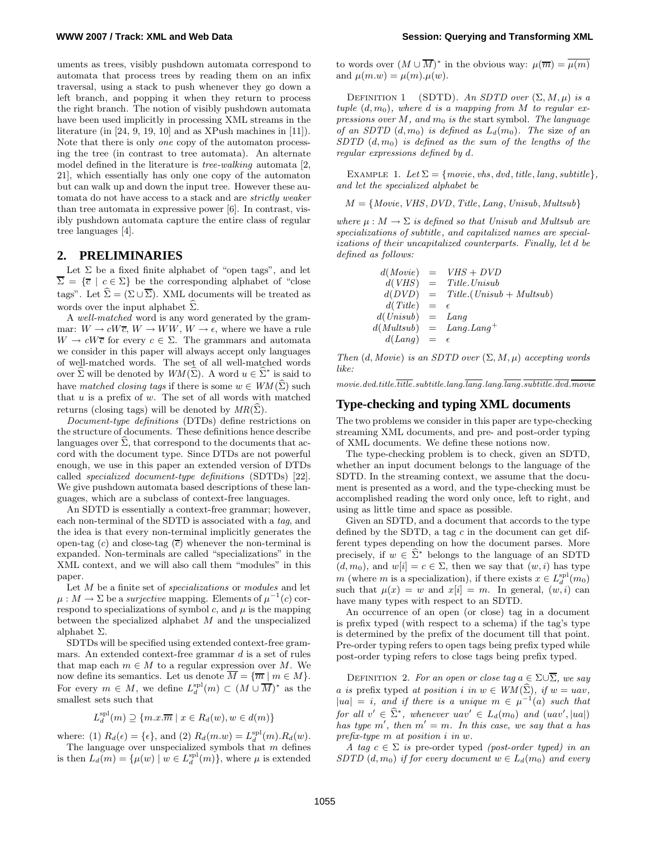uments as trees, visibly pushdown automata correspond to automata that process trees by reading them on an infix traversal, using a stack to push whenever they go down a left branch, and popping it when they return to process the right branch. The notion of visibly pushdown automata have been used implicitly in processing XML streams in the literature (in [24, 9, 19, 10] and as XPush machines in [11]). Note that there is only one copy of the automaton processing the tree (in contrast to tree automata). An alternate model defined in the literature is *tree-walking* automata [2, 21], which essentially has only one copy of the automaton but can walk up and down the input tree. However these automata do not have access to a stack and are strictly weaker than tree automata in expressive power [6]. In contrast, visibly pushdown automata capture the entire class of regular tree languages [4].

### **2. PRELIMINARIES**

Let  $\Sigma$  be a fixed finite alphabet of "open tags", and let  $\overline{\Sigma} = {\overline{c} \mid c \in \Sigma}$  be the corresponding alphabet of "close" tags". Let  $\hat{\Sigma} = (\Sigma \cup \overline{\Sigma})$ . XML documents will be treated as words over the input alphabet  $\hat{\Sigma}$ .

A well-matched word is any word generated by the grammar:  $W \to cW\overline{c}$ ,  $W \to WW$ ,  $W \to \epsilon$ , where we have a rule  $W \to cW\overline{c}$  for every  $c \in \Sigma$ . The grammars and automata we consider in this paper will always accept only languages of well-matched words. The set of all well-matched words over  $\widehat{\Sigma}$  will be denoted by  $WM(\widehat{\Sigma})$ . A word  $u \in \widehat{\Sigma}^*$  is said to have matched closing tags if there is some  $w \in WM(\hat{\Sigma})$  such that  $u$  is a prefix of  $w$ . The set of all words with matched returns (closing tags) will be denoted by  $MR(\widehat{\Sigma})$ .

Document-type definitions (DTDs) define restrictions on the structure of documents. These definitions hence describe languages over  $\hat{\Sigma}$ , that correspond to the documents that accord with the document type. Since DTDs are not powerful enough, we use in this paper an extended version of DTDs called specialized document-type definitions (SDTDs) [22]. We give pushdown automata based descriptions of these languages, which are a subclass of context-free languages.

An SDTD is essentially a context-free grammar; however, each non-terminal of the SDTD is associated with a tag, and the idea is that every non-terminal implicitly generates the open-tag  $(c)$  and close-tag  $(\overline{c})$  whenever the non-terminal is expanded. Non-terminals are called "specializations" in the XML context, and we will also call them "modules" in this paper.

Let M be a finite set of *specializations* or *modules* and let  $\mu: M \to \Sigma$  be a *surjective* mapping. Elements of  $\mu^{-1}(c)$  correspond to specializations of symbol  $c$ , and  $\mu$  is the mapping between the specialized alphabet M and the unspecialized alphabet Σ.

SDTDs will be specified using extended context-free grammars. An extended context-free grammar  $d$  is a set of rules that map each  $m \in M$  to a regular expression over M. We now define its semantics. Let us denote  $\overline{M} = {\overline{m} \mid m \in M}$ . For every  $m \in M$ , we define  $L_d^{\text{spl}}(m) \subset (M \cup \overline{M})^*$  as the smallest sets such that

$$
L_d^{\text{spl}}(m) \supseteq \{m.x.\overline{m} \mid x \in R_d(w), w \in d(m)\}\
$$

where: (1)  $R_d(\epsilon) = {\epsilon}$ , and (2)  $R_d(m.w) = L_d^{\text{spl}}(m).R_d(w)$ .

The language over unspecialized symbols that  $m$  defines is then  $L_d(m) = {\mu(w) | w \in L_d^{\text{spl}}(m)}$ , where  $\mu$  is extended

to words over  $(M \cup \overline{M})^*$  in the obvious way:  $\mu(\overline{m}) = \overline{\mu(m)}$ and  $\mu(m.w) = \mu(m) \cdot \mu(w)$ .

DEFINITION 1 (SDTD). An SDTD over  $(\Sigma, M, \mu)$  is a tuple  $(d, m_0)$ , where d is a mapping from M to regular expressions over M, and  $m_0$  is the start symbol. The language of an SDTD  $(d, m_0)$  is defined as  $L_d(m_0)$ . The size of an SDTD  $(d, m_0)$  is defined as the sum of the lengths of the regular expressions defined by d.

EXAMPLE 1. Let  $\Sigma = \{move, vhs, dvd, title, lang, subtitle\},\$ and let the specialized alphabet be

 $M = \{Movie, VHS, DVD, Title, Lang, Unisub, Multsub\}$ 

where  $\mu : M \to \Sigma$  is defined so that Unisub and Multsub are specializations of subtitle, and capitalized names are specializations of their uncapitalized counterparts. Finally, let d be defined as follows:

$$
d(Movie) = VHS + DVD
$$
  
\n
$$
d(VHS) = Title. Unisub
$$
  
\n
$$
d(DVD) = Title. (Unisub + Multsub)
$$
  
\n
$$
d(Title) = \epsilon
$$
  
\n
$$
d(Unisub) = Lang
$$
  
\n
$$
d(Multsub) = Lang.Lang^{+}
$$
  
\n
$$
d(Lang) = \epsilon
$$

Then  $(d, Movie)$  is an SDTD over  $(\Sigma, M, \mu)$  accepting words like:

 $movic. dvd. title. title. subtle. land. lang. lang. lang. Is a solution of a'subtitle. dvd. movie$ 

#### **Type-checking and typing XML documents**

The two problems we consider in this paper are type-checking streaming XML documents, and pre- and post-order typing of XML documents. We define these notions now.

The type-checking problem is to check, given an SDTD, whether an input document belongs to the language of the SDTD. In the streaming context, we assume that the document is presented as a word, and the type-checking must be accomplished reading the word only once, left to right, and using as little time and space as possible.

Given an SDTD, and a document that accords to the type defined by the SDTD, a tag  $c$  in the document can get different types depending on how the document parses. More precisely, if  $w \in \hat{\Sigma}^*$  belongs to the language of an SDTD  $(d, m_0)$ , and  $w[i] = c \in \Sigma$ , then we say that  $(w, i)$  has type m (where m is a specialization), if there exists  $x \in L_d^{\text{spl}}(m_0)$ such that  $\mu(x) = w$  and  $x[i] = m$ . In general,  $(w, i)$  can have many types with respect to an SDTD.

An occurrence of an open (or close) tag in a document is prefix typed (with respect to a schema) if the tag's type is determined by the prefix of the document till that point. Pre-order typing refers to open tags being prefix typed while post-order typing refers to close tags being prefix typed.

DEFINITION 2. For an open or close tag  $a \in \Sigma \cup \overline{\Sigma}$ , we say a is prefix typed at position i in  $w \in WM(\hat{\Sigma})$ , if  $w = uav$ ,  $|ua| = i$ , and if there is a unique  $m \in \mu^{-1}(a)$  such that for all  $v' \in \hat{\Sigma}^*$ , whenever  $uav' \in L_d(m_0)$  and  $(uav', |ua|)$ has type  $m'$ , then  $m' = m$ . In this case, we say that a has prefix-type m at position i in w.

A tag  $c \in \Sigma$  is pre-order typed (post-order typed) in an SDTD  $(d, m_0)$  if for every document  $w \in L_d(m_0)$  and every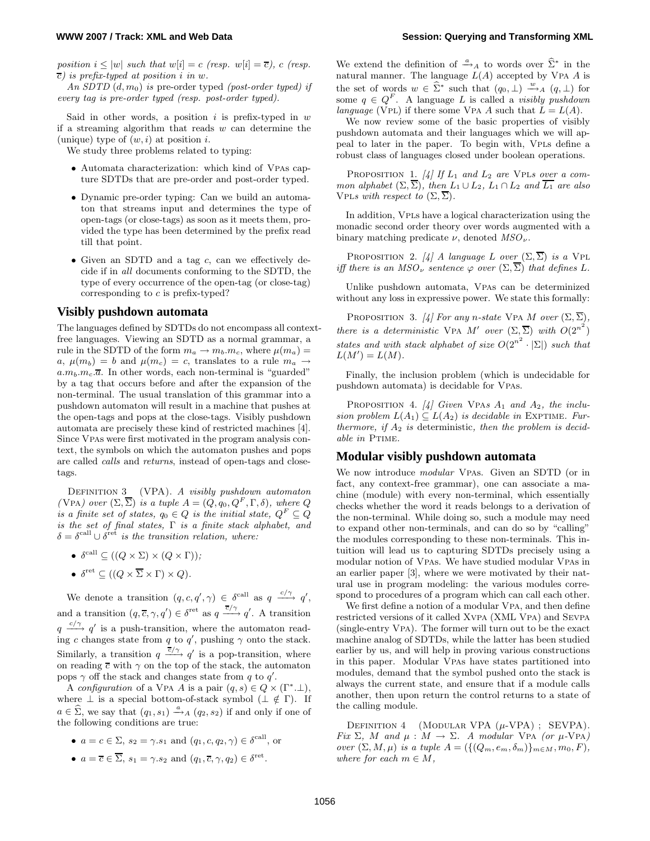position  $i \leq |w|$  such that  $w[i] = c$  (resp.  $w[i] = \overline{c}$ ), c (resp.  $\overline{c}$ ) is prefix-typed at position i in w.

An SDTD  $(d, m_0)$  is pre-order typed (post-order typed) if every tag is pre-order typed (resp. post-order typed).

Said in other words, a position  $i$  is prefix-typed in  $w$ if a streaming algorithm that reads  $w$  can determine the (unique) type of  $(w, i)$  at position i.

We study three problems related to typing:

- Automata characterization: which kind of Vpas capture SDTDs that are pre-order and post-order typed.
- Dynamic pre-order typing: Can we build an automaton that streams input and determines the type of open-tags (or close-tags) as soon as it meets them, provided the type has been determined by the prefix read till that point.
- Given an SDTD and a tag c, can we effectively decide if in all documents conforming to the SDTD, the type of every occurrence of the open-tag (or close-tag) corresponding to c is prefix-typed?

#### **Visibly pushdown automata**

The languages defined by SDTDs do not encompass all contextfree languages. Viewing an SDTD as a normal grammar, a rule in the SDTD of the form  $m_a \to m_b.m_c$ , where  $\mu(m_a) =$  $a, \mu(m_b) = b$  and  $\mu(m_c) = c$ , translates to a rule  $m_a \rightarrow$  $a.m_b.m_c.\overline{a}$ . In other words, each non-terminal is "guarded" by a tag that occurs before and after the expansion of the non-terminal. The usual translation of this grammar into a pushdown automaton will result in a machine that pushes at the open-tags and pops at the close-tags. Visibly pushdown automata are precisely these kind of restricted machines [4]. Since Vpas were first motivated in the program analysis context, the symbols on which the automaton pushes and pops are called calls and returns, instead of open-tags and closetags.

DEFINITION 3 (VPA). A visibly pushdown automaton (VPA) over  $(\Sigma, \overline{\Sigma})$  is a tuple  $A = (Q, q_0, Q^F, \Gamma, \delta)$ , where Q is a finite set of states,  $q_0 \in Q$  is the initial state,  $Q^F \subseteq Q$ is the set of final states,  $\Gamma$  is a finite stack alphabet, and  $\delta = \delta^{\text{call}} \cup \delta^{\text{ret}}$  is the transition relation, where:

- $\delta^{\mathrm{call}} \subseteq ((Q \times \Sigma) \times (Q \times \Gamma));$
- $\delta^{\text{ret}} \subseteq ((Q \times \overline{\Sigma} \times \Gamma) \times Q).$

We denote a transition  $(q, c, q', \gamma) \in \delta^{\text{call}}$  as  $q \xrightarrow{c/\gamma} q',$ and a transition  $(q, \overline{c}, \gamma, q') \in \delta^{\text{ret}}$  as  $q \xrightarrow{\overline{c}/\gamma} q'$ . A transition  $q \xrightarrow{c/\gamma} q'$  is a push-transition, where the automaton reading c changes state from q to q', pushing  $\gamma$  onto the stack. Similarly, a transition  $q \stackrel{\overline{c}/\gamma}{\longrightarrow} q'$  is a pop-transition, where on reading  $\overline{c}$  with  $\gamma$  on the top of the stack, the automaton pops  $\gamma$  off the stack and changes state from q to  $q'$ .

A configuration of a VPA A is a pair  $(q, s) \in Q \times (\Gamma^* \perp)$ , where  $\perp$  is a special bottom-of-stack symbol  $(\perp \notin \Gamma)$ . If  $a \in \hat{\Sigma}$ , we say that  $(q_1, s_1) \stackrel{a}{\longrightarrow}_A (q_2, s_2)$  if and only if one of the following conditions are true:

- $a = c \in \Sigma$ ,  $s_2 = \gamma . s_1$  and  $(q_1, c, q_2, \gamma) \in \delta^{\text{call}}$ , or
- $a = \overline{c} \in \overline{\Sigma}$ ,  $s_1 = \gamma \cdot s_2$  and  $(q_1, \overline{c}, \gamma, q_2) \in \delta^{\text{ret}}$ .

We extend the definition of  $\stackrel{a}{\longrightarrow}_A$  to words over  $\hat{\Sigma}^*$  in the natural manner. The language  $L(A)$  accepted by VPA A is the set of words  $w \in \hat{\Sigma}^*$  such that  $(q_0, \perp) \stackrel{w}{\longrightarrow}_A (q, \perp)$  for some  $q \in Q^F$ . A language L is called a *visibly pushdown* language (VPL) if there some VPA A such that  $L = L(A)$ .

We now review some of the basic properties of visibly pushdown automata and their languages which we will appeal to later in the paper. To begin with, Vpls define a robust class of languages closed under boolean operations.

PROPOSITION 1.  $[4]$  If  $L_1$  and  $L_2$  are VPLs over a common alphabet  $(\Sigma, \overline{\Sigma})$ , then  $L_1 \cup L_2$ ,  $L_1 \cap L_2$  and  $\overline{L_1}$  are also VPLs with respect to  $(\Sigma, \overline{\Sigma})$ .

In addition, Vpls have a logical characterization using the monadic second order theory over words augmented with a binary matching predicate  $\nu$ , denoted  $MSO_{\nu}$ .

PROPOSITION 2. [4] A language L over  $(\Sigma, \overline{\Sigma})$  is a VPL iff there is an MSO<sub>v</sub> sentence  $\varphi$  over  $(\Sigma, \overline{\Sigma})$  that defines L.

Unlike pushdown automata, Vpas can be determinized without any loss in expressive power. We state this formally:

PROPOSITION 3. [4] For any n-state VPA M over  $(\Sigma, \overline{\Sigma})$ , there is a deterministic VPA M' over  $(\Sigma, \overline{\Sigma})$  with  $O(2^{n^2})$ states and with stack alphabet of size  $O(2^{n^2} \cdot |\Sigma|)$  such that  $L(M')=L(M).$ 

Finally, the inclusion problem (which is undecidable for pushdown automata) is decidable for Vpas.

PROPOSITION 4. [4] Given VPAs  $A_1$  and  $A_2$ , the inclusion problem  $L(A_1) \subseteq L(A_2)$  is decidable in EXPTIME. Furthermore, if  $A_2$  is deterministic, then the problem is decidable in PTIME.

#### **Modular visibly pushdown automata**

We now introduce modular Vpas. Given an SDTD (or in fact, any context-free grammar), one can associate a machine (module) with every non-terminal, which essentially checks whether the word it reads belongs to a derivation of the non-terminal. While doing so, such a module may need to expand other non-terminals, and can do so by "calling" the modules corresponding to these non-terminals. This intuition will lead us to capturing SDTDs precisely using a modular notion of Vpas. We have studied modular Vpas in an earlier paper [3], where we were motivated by their natural use in program modeling: the various modules correspond to procedures of a program which can call each other.

We first define a notion of a modular Vpa, and then define restricted versions of it called Xvpa (XML Vpa) and Sevpa (single-entry Vpa). The former will turn out to be the exact machine analog of SDTDs, while the latter has been studied earlier by us, and will help in proving various constructions in this paper. Modular Vpas have states partitioned into modules, demand that the symbol pushed onto the stack is always the current state, and ensure that if a module calls another, then upon return the control returns to a state of the calling module.

DEFINITION 4 (MODULAR VPA  $(\mu$ -VPA); SEVPA). Fix  $\Sigma$ , M and  $\mu : M \to \Sigma$ . A modular VPA (or  $\mu$ -VPA) over  $(\Sigma, M, \mu)$  is a tuple  $A = (\{(Q_m, e_m, \delta_m)\}_{m \in M}, m_0, F),$ where for each  $m \in M$ ,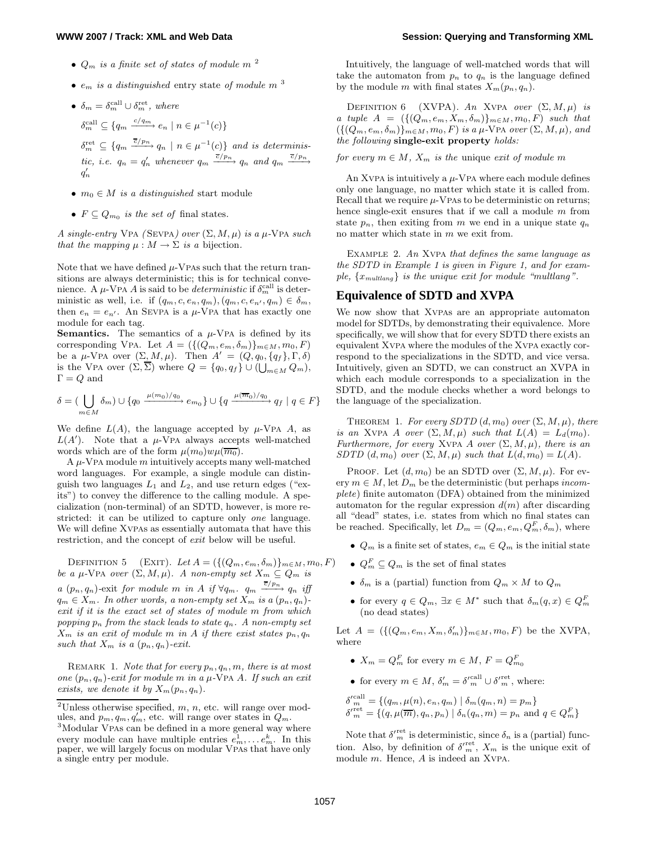- $Q_m$  is a finite set of states of module m<sup>2</sup>
- $e_m$  is a distinguished entry state of module m<sup>3</sup>
- $\delta_m = \delta_m^{\text{call}} \cup \delta_m^{\text{ret}}, \text{ where}$

$$
\delta_m^{\text{call}} \subseteq \{ q_m \xrightarrow{c/q_m} e_n \mid n \in \mu^{-1}(c) \}
$$
  
\n
$$
\delta_m^{\text{ret}} \subseteq \{ q_m \xrightarrow{\overline{c}/p_n} q_n \mid n \in \mu^{-1}(c) \}
$$
 and is determinis-  
\ntic, i.e.  $q_n = q'_n$  whenever  $q_m \xrightarrow{\overline{c}/p_n} q_n$  and  $q_m \xrightarrow{\overline{c}/p_n} q'_n$ 

- $m_0 \in M$  is a distinguished start module
- $F \subseteq Q_{m_0}$  is the set of final states.

A single-entry VPA (SEVPA) over  $(\Sigma, M, \mu)$  is a  $\mu$ -VPA such that the mapping  $\mu : M \to \Sigma$  is a bijection.

Note that we have defined  $\mu$ -VPAs such that the return transitions are always deterministic; this is for technical convenience. A  $\mu$ -VPA A is said to be *deterministic* if  $\delta_m^{\text{call}}$  is deterministic as well, i.e. if  $(q_m, c, e_n, q_m), (q_m, c, e_{n'}, q_m) \in \delta_m$ , then  $e_n = e_{n'}$ . An SEVPA is a  $\mu$ -VPA that has exactly one module for each tag.

**Semantics.** The semantics of a  $\mu$ -VPA is defined by its corresponding Vpa. Let  $A = (\{(Q_m, e_m, \delta_m)\}_{m \in M}, m_0, F)$ be a  $\mu$ -VPA over  $(\Sigma, M, \mu)$ . Then  $A' = (Q, q_0, \{q_f\}, \Gamma, \delta)$ is the VPA over  $(\Sigma, \Sigma)$  where  $Q = \{q_0, q_f\} \cup (\bigcup_{m \in M} Q_m)$ ,  $\Gamma=Q$  and

$$
\delta = (\bigcup_{m \in M} \delta_m) \cup \{ q_0 \xrightarrow{\mu(m_0)/q_0} e_{m_0} \} \cup \{ q \xrightarrow{\mu(\overline{m_0})/q_0} q_f \mid q \in F \}
$$

We define  $L(A)$ , the language accepted by  $\mu$ -VPA A, as  $L(A')$ . Note that a  $\mu$ -VPA always accepts well-matched words which are of the form  $\mu(m_0)w\mu(\overline{m_0})$ .

A  $\mu$ -VPA module m intuitively accepts many well-matched word languages. For example, a single module can distinguish two languages  $L_1$  and  $L_2$ , and use return edges ("exits") to convey the difference to the calling module. A specialization (non-terminal) of an SDTD, however, is more restricted: it can be utilized to capture only one language. We will define XVPAs as essentially automata that have this restriction, and the concept of exit below will be useful.

DEFINITION 5 (EXIT). Let  $A = (\{(Q_m, e_m, \delta_m)\}_{m \in M}, m_0, F)$ be a  $\mu$ -VPA over  $(\Sigma, M, \mu)$ . A non-empty set  $X_m \subseteq Q_m$  is a  $(p_n, q_n)$ -exit for module m in A if  $\forall q_m$ .  $q_m \stackrel{\overline{c}/p_n}{\longrightarrow} q_n$  iff  $q_m \in X_m$ . In other words, a non-empty set  $X_m$  is a  $(p_n, q_n)$ exit if it is the exact set of states of module m from which popping  $p_n$  from the stack leads to state  $q_n$ . A non-empty set  $X_m$  is an exit of module m in A if there exist states  $p_n, q_n$ such that  $X_m$  is a  $(p_n, q_n)$ -exit.

REMARK 1. Note that for every  $p_n, q_n, m$ , there is at most one  $(p_n, q_n)$ -exit for module m in a  $\mu$ -Vpa A. If such an exit exists, we denote it by  $X_m(p_n, q_n)$ .

Intuitively, the language of well-matched words that will take the automaton from  $p_n$  to  $q_n$  is the language defined by the module m with final states  $X_m(p_n, q_n)$ .

DEFINITION 6 (XVPA). An XvPA over  $(\Sigma, M, \mu)$  is a tuple  $A = (\{(Q_m, e_m, X_m, \delta_m)\}_{m \in M}, m_0, F)$  such that  $({(Q_m, e_m, \delta_m)}_{m \in M}, m_0, F)$  is a  $\mu$ -VPA over  $(\Sigma, M, \mu)$ , and the following single-exit property holds:

#### for every  $m \in M$ ,  $X_m$  is the unique exit of module m

An XVPA is intuitively a  $\mu$ -VPA where each module defines only one language, no matter which state it is called from. Recall that we require  $\mu$ -VPAs to be deterministic on returns; hence single-exit ensures that if we call a module m from state  $p_n$ , then exiting from m we end in a unique state  $q_n$ no matter which state in  $m$  we exit from.

EXAMPLE 2. An XVPA that defines the same language as the SDTD in Example 1 is given in Figure 1, and for example,  $\{x_{multlang}\}$  is the unique exit for module "multlang".

# **Equivalence of SDTD and XVPA**

We now show that Xvpas are an appropriate automaton model for SDTDs, by demonstrating their equivalence. More specifically, we will show that for every SDTD there exists an equivalent Xvpa where the modules of the Xvpa exactly correspond to the specializations in the SDTD, and vice versa. Intuitively, given an SDTD, we can construct an XVPA in which each module corresponds to a specialization in the SDTD, and the module checks whether a word belongs to the language of the specialization.

THEOREM 1. For every SDTD  $(d, m_0)$  over  $(\Sigma, M, \mu)$ , there is an XVPA A over  $(\Sigma, M, \mu)$  such that  $L(A) = L_d(m_0)$ . Furthermore, for every XVPA A over  $(\Sigma, M, \mu)$ , there is an SDTD  $(d, m_0)$  over  $(\Sigma, M, \mu)$  such that  $L(d, m_0) = L(A)$ .

PROOF. Let  $(d, m_0)$  be an SDTD over  $(\Sigma, M, \mu)$ . For every  $m \in M$ , let  $D_m$  be the deterministic (but perhaps *incom*plete) finite automaton (DFA) obtained from the minimized automaton for the regular expression  $d(m)$  after discarding all "dead" states, i.e. states from which no final states can be reached. Specifically, let  $D_m = (Q_m, e_m, Q_m^F, \delta_m)$ , where

- $Q_m$  is a finite set of states,  $e_m \in Q_m$  is the initial state
- $Q_m^F \subseteq Q_m$  is the set of final states
- $\delta_m$  is a (partial) function from  $Q_m \times M$  to  $Q_m$
- for every  $q \in Q_m$ ,  $\exists x \in M^*$  such that  $\delta_m(q, x) \in Q_m^F$ (no dead states)

Let  $A = (\{(Q_m, e_m, X_m, \delta'_m)\}_{m \in M}, m_0, F)$  be the XVPA, where

- $X_m = Q_m^F$  for every  $m \in M$ ,  $F = Q_{m_0}^F$
- for every  $m \in M$ ,  $\delta'_m = \delta'^{\text{call}}_m \cup \delta'^{\text{ret}}_m$ , where:

$$
\delta'^{call}_{m} = \{ (q_m, \mu(n), e_n, q_m) \mid \delta_m(q_m, n) = p_m \}
$$
  
\n
$$
\delta'^{ret}_{m} = \{ (q, \mu(\overline{m}), q_n, p_n) \mid \delta_n(q_n, m) = p_n \text{ and } q \in Q_m^F \}
$$

Note that  $\delta'^{\text{ret}}_m$  is deterministic, since  $\delta_n$  is a (partial) function. Also, by definition of  $\delta^{\prime \text{ret}}_{m}$ ,  $X_m$  is the unique exit of module m. Hence, A is indeed an XVPA.

<sup>&</sup>lt;sup>2</sup>Unless otherwise specified,  $m$ ,  $n$ , etc. will range over modules, and  $p_m, q_m, q'_m$ , etc. will range over states in  $Q_m$ .

<sup>3</sup>Modular Vpas can be defined in a more general way where every module can have multiple entries  $e_m^1, \ldots e_m^k$ . In this paper, we will largely focus on modular Vpas that have only a single entry per module.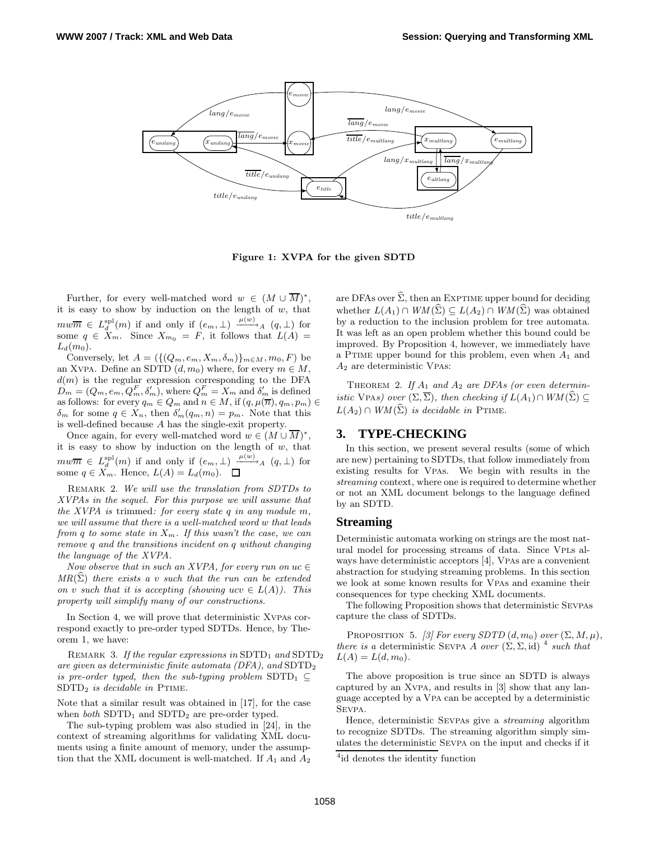

Figure 1: XVPA for the given SDTD

Further, for every well-matched word  $w \in (M \cup \overline{M})^*$ , it is easy to show by induction on the length of  $w$ , that  $mw\overline{m} \in L_d^{\text{spl}}(m)$  if and only if  $(e_m, \perp) \xrightarrow{\mu(w)} A (q, \perp)$  for some  $q \in X_m$ . Since  $X_{m_0} = F$ , it follows that  $L(A) =$  $L_d(m_0)$ .

Conversely, let  $A = (\{(Q_m, e_m, X_m, \delta_m)\}_{m \in M}, m_0, F)$  be an Xvpa. Define an SDTD  $(d, m_0)$  where, for every  $m \in M$ ,  $d(m)$  is the regular expression corresponding to the DFA  $D_m = (Q_m, e_m, Q_m^F, \delta'_m)$ , where  $Q_m^F = X_m$  and  $\delta'_m$  is defined as follows: for every  $q_m \in Q_m$  and  $n \in M$ , if  $(q, \mu(\overline{n}), q_m, p_m) \in$  $\delta_m$  for some  $q \in X_n$ , then  $\delta'_m(q_m, n) = p_m$ . Note that this is well-defined because A has the single-exit property.

Once again, for every well-matched word  $w \in (M \cup \overline{M})^*$ , it is easy to show by induction on the length of  $w$ , that  $mw\overline{m} \in L_d^{\text{spl}}(m)$  if and only if  $(e_m, \perp) \xrightarrow{\mu(w)} A$   $(q, \perp)$  for some  $q \in X_m$ . Hence,  $L(A) = L_d(m_0)$ .

Remark 2. We will use the translation from SDTDs to XVPAs in the sequel. For this purpose we will assume that the XVPA is trimmed: for every state  $q$  in any module  $m$ , we will assume that there is a well-matched word w that leads from q to some state in  $X_m$ . If this wasn't the case, we can remove q and the transitions incident on q without changing the language of the XVPA.

Now observe that in such an XVPA, for every run on  $uc \in$  $MR(\Sigma)$  there exists a v such that the run can be extended on v such that it is accepting (showing ucv  $\in L(A)$ ). This property will simplify many of our constructions.

In Section 4, we will prove that deterministic Xvpas correspond exactly to pre-order typed SDTDs. Hence, by Theorem 1, we have:

REMARK 3. If the regular expressions in  $SDTD_1$  and  $SDTD_2$ are given as deterministic finite automata (DFA), and  $S\text{DTD}_2$ is pre-order typed, then the sub-typing problem SDTD<sub>1</sub>  $\subseteq$  $SDTD<sub>2</sub>$  is decidable in PTIME.

Note that a similar result was obtained in [17], for the case when both  $SDTD_1$  and  $SDTD_2$  are pre-order typed.

The sub-typing problem was also studied in [24], in the context of streaming algorithms for validating XML documents using a finite amount of memory, under the assumption that the XML document is well-matched. If  $A_1$  and  $A_2$ 

are DFAs over  $\hat{\Sigma}$ , then an EXPTIME upper bound for deciding whether  $L(A_1) \cap WM(\hat{\Sigma}) \subseteq L(A_2) \cap WM(\hat{\Sigma})$  was obtained by a reduction to the inclusion problem for tree automata. It was left as an open problem whether this bound could be improved. By Proposition 4, however, we immediately have a PTIME upper bound for this problem, even when  $A_1$  and  $A_2$  are deterministic VPAs:

THEOREM 2. If  $A_1$  and  $A_2$  are DFAs (or even deterministic VPAs) over  $(\Sigma, \overline{\Sigma})$ , then checking if  $L(A_1) \cap WM(\widehat{\Sigma}) \subseteq$  $L(A_2) \cap WM(\hat{\Sigma})$  is decidable in PTIME.

#### **3. TYPE-CHECKING**

In this section, we present several results (some of which are new) pertaining to SDTDs, that follow immediately from existing results for Vpas. We begin with results in the streaming context, where one is required to determine whether or not an XML document belongs to the language defined by an SDTD.

#### **Streaming**

Deterministic automata working on strings are the most natural model for processing streams of data. Since Vpls always have deterministic acceptors [4], Vpas are a convenient abstraction for studying streaming problems. In this section we look at some known results for Vpas and examine their consequences for type checking XML documents.

The following Proposition shows that deterministic Sevpas capture the class of SDTDs.

PROPOSITION 5. [3] For every SDTD  $(d, m_0)$  over  $(\Sigma, M, \mu)$ , there is a deterministic SEVPA A over  $(\Sigma, \Sigma, id)^{-4}$  such that  $L(A) = L(d, m_0)$ .

The above proposition is true since an SDTD is always captured by an Xvpa, and results in [3] show that any language accepted by a Vpa can be accepted by a deterministic Sevpa.

Hence, deterministic Sevpas give a streaming algorithm to recognize SDTDs. The streaming algorithm simply simulates the deterministic Sevpa on the input and checks if it

<sup>&</sup>lt;sup>4</sup>id denotes the identity function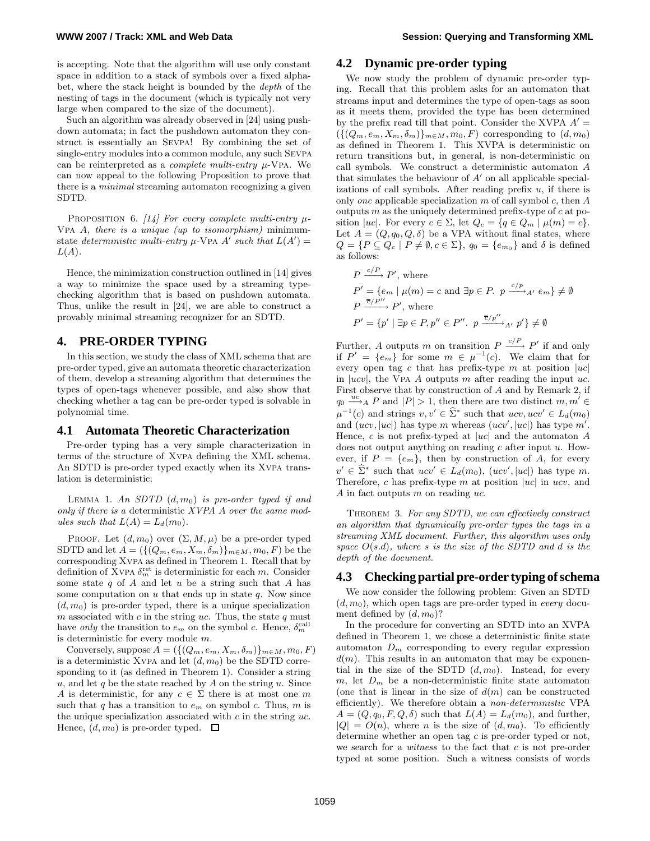is accepting. Note that the algorithm will use only constant space in addition to a stack of symbols over a fixed alphabet, where the stack height is bounded by the depth of the nesting of tags in the document (which is typically not very large when compared to the size of the document).

Such an algorithm was already observed in [24] using pushdown automata; in fact the pushdown automaton they construct is essentially an Sevpa! By combining the set of single-entry modules into a common module, any such Sevpa can be reinterpreted as a *complete multi-entry*  $\mu$ -VPA. We can now appeal to the following Proposition to prove that there is a minimal streaming automaton recognizing a given SDTD.

PROPOSITION 6. [14] For every complete multi-entry  $\mu$ -Vpa A, there is a unique (up to isomorphism) minimumstate deterministic multi-entry  $\mu$ -VPA A' such that  $L(A') =$  $L(A)$ .

Hence, the minimization construction outlined in [14] gives a way to minimize the space used by a streaming typechecking algorithm that is based on pushdown automata. Thus, unlike the result in [24], we are able to construct a provably minimal streaming recognizer for an SDTD.

#### **4. PRE-ORDER TYPING**

In this section, we study the class of XML schema that are pre-order typed, give an automata theoretic characterization of them, develop a streaming algorithm that determines the types of open-tags whenever possible, and also show that checking whether a tag can be pre-order typed is solvable in polynomial time.

#### **4.1 Automata Theoretic Characterization**

Pre-order typing has a very simple characterization in terms of the structure of Xvpa defining the XML schema. An SDTD is pre-order typed exactly when its Xvpa translation is deterministic:

LEMMA 1. An SDTD  $(d, m_0)$  is pre-order typed if and only if there is a deterministic XVPA A over the same modules such that  $L(A) = L_d(m_0)$ .

PROOF. Let  $(d, m_0)$  over  $(\Sigma, M, \mu)$  be a pre-order typed SDTD and let  $A = (\{(Q_m, e_m, X_m, \delta_m)\}_{m \in M}, m_0, F)$  be the corresponding Xvpa as defined in Theorem 1. Recall that by definition of XVPA  $\delta_m^{\text{ret}}$  is deterministic for each m. Consider some state q of A and let  $u$  be a string such that A has some computation on  $u$  that ends up in state  $q$ . Now since  $(d, m_0)$  is pre-order typed, there is a unique specialization m associated with c in the string uc. Thus, the state  $q$  must have *only* the transition to  $e_m$  on the symbol c. Hence,  $\delta_m^{\text{call}}$ is deterministic for every module m.

Conversely, suppose  $A = (\{(Q_m, e_m, X_m, \delta_m)\}_{m \in M}, m_0, F)$ is a deterministic XVPA and let  $(d, m_0)$  be the SDTD corresponding to it (as defined in Theorem 1). Consider a string u, and let q be the state reached by  $A$  on the string  $u$ . Since A is deterministic, for any  $c \in \Sigma$  there is at most one m such that q has a transition to  $e_m$  on symbol c. Thus, m is the unique specialization associated with  $c$  in the string  $uc$ . Hence,  $(d, m_0)$  is pre-order typed.  $\Box$ 

#### **4.2 Dynamic pre-order typing**

We now study the problem of dynamic pre-order typing. Recall that this problem asks for an automaton that streams input and determines the type of open-tags as soon as it meets them, provided the type has been determined by the prefix read till that point. Consider the XVPA  $A' =$  $({(Q_m, e_m, X_m, \delta_m)}_{m \in M}, m_0, F)$  corresponding to  $(d, m_0)$ as defined in Theorem 1. This XVPA is deterministic on return transitions but, in general, is non-deterministic on call symbols. We construct a deterministic automaton A that simulates the behaviour of  $A'$  on all applicable specializations of call symbols. After reading prefix  $u$ , if there is only one applicable specialization m of call symbol c, then  $A$ outputs m as the uniquely determined prefix-type of  $c$  at position  $|uc|$ . For every  $c \in \Sigma$ , let  $Q_c = \{q \in Q_m \mid \mu(m) = c\}.$ Let  $A = (Q, q_0, Q, \delta)$  be a VPA without final states, where  $Q = \{P \subseteq Q_c \mid P \neq \emptyset, c \in \Sigma\}, q_0 = \{e_{m_0}\}\$ and  $\delta$  is defined as follows:

$$
P \xrightarrow{c/P} P', \text{ where}
$$
  
\n
$$
P' = \{e_m \mid \mu(m) = c \text{ and } \exists p \in P. \ p \xrightarrow{c/p} {}_{A'} e_m\} \neq \emptyset
$$
  
\n
$$
P \xrightarrow{\overline{c}/P''} P', \text{ where}
$$
  
\n
$$
P' = \{p' \mid \exists p \in P, p'' \in P''. \ p \xrightarrow{\overline{c}/p''} {}_{A'} p'\} \neq \emptyset
$$

Further, A outputs m on transition  $P \xrightarrow{c/P} P'$  if and only if  $P' = \{e_m\}$  for some  $m \in \mu^{-1}(c)$ . We claim that for every open tag  $c$  that has prefix-type  $m$  at position  $|uc|$ in  $|ucv|$ , the VPA A outputs m after reading the input uc. First observe that by construction of A and by Remark 2, if  $q_0 \stackrel{uc}{\longrightarrow}_A P$  and  $|P| > 1$ , then there are two distinct  $m, m' \in$  $\mu^{-1}(c)$  and strings  $v, v' \in \hat{\Sigma}^*$  such that  $ucv, ucv' \in L_d(m_0)$ and  $(ucv, |uc|)$  has type m whereas  $(ucv', |uc|)$  has type m<sup>'</sup>. Hence, c is not prefix-typed at  $|uc|$  and the automaton A does not output anything on reading  $c$  after input  $u$ . However, if  $P = \{e_m\}$ , then by construction of A, for every  $v' \in \hat{\Sigma}^*$  such that  $ucv' \in L_d(m_0), (ucv', |uc|)$  has type m. Therefore, c has prefix-type m at position  $|uc|$  in ucv, and A in fact outputs m on reading uc.

THEOREM 3. For any SDTD, we can effectively construct an algorithm that dynamically pre-order types the tags in a streaming XML document. Further, this algorithm uses only space  $O(s.d)$ , where s is the size of the SDTD and d is the depth of the document.

### **4.3 Checking partial pre-order typing of schema**

We now consider the following problem: Given an SDTD  $(d, m_0)$ , which open tags are pre-order typed in every document defined by  $(d, m_0)$ ?

In the procedure for converting an SDTD into an XVPA defined in Theorem 1, we chose a deterministic finite state automaton  $D_m$  corresponding to every regular expression  $d(m)$ . This results in an automaton that may be exponential in the size of the SDTD  $(d, m_0)$ . Instead, for every m, let  $D_m$  be a non-deterministic finite state automaton (one that is linear in the size of  $d(m)$  can be constructed efficiently). We therefore obtain a non-deterministic VPA  $A = (Q, q_0, F, Q, \delta)$  such that  $L(A) = L_d(m_0)$ , and further,  $|Q| = O(n)$ , where *n* is the size of  $(d, m_0)$ . To efficiently determine whether an open tag c is pre-order typed or not, we search for a witness to the fact that c is not pre-order typed at some position. Such a witness consists of words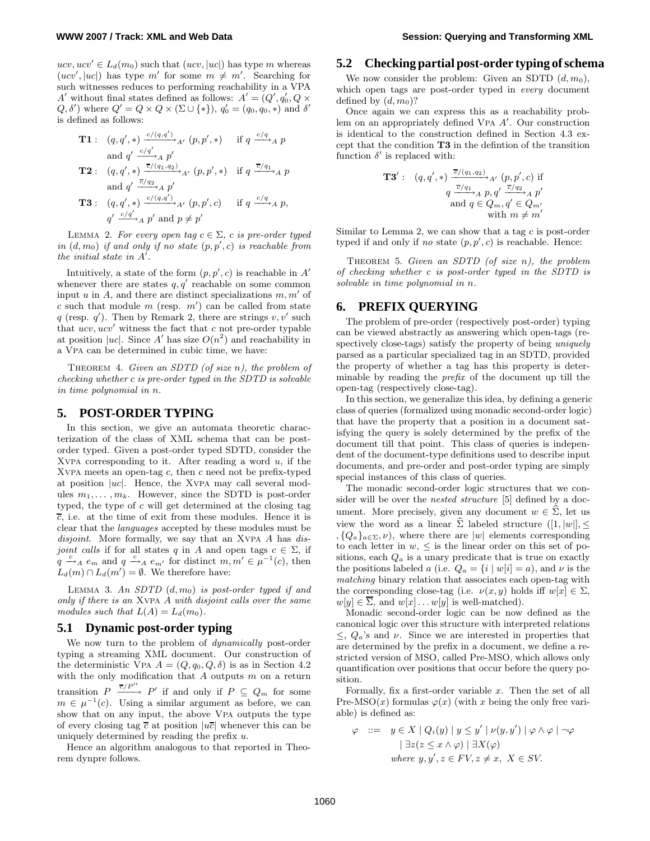$ucv, ucv' \in L_d(m_0)$  such that  $(ucv, |uc|)$  has type m whereas  $(ucv', |uc|)$  has type m' for some  $m \neq m'$ . Searching for such witnesses reduces to performing reachability in a VPA A' without final states defined as follows:  $A' = (Q', q'_0, Q \times$  $Q, \delta'$  where  $Q' = Q \times Q \times (\Sigma \cup \{*\})$ ,  $q'_0 = (q_0, q_0, *)$  and  $\delta'$ is defined as follows:

**T1**: 
$$
(q, q', *) \xrightarrow{c/(q, q')}
$$
 $A'$  $(p, p', *)$  if  $q \xrightarrow{c/q}$  $A$  $p$   
and  $q' \xrightarrow{c/q'}$  $A$  $p'$   
**T2**:  $(q, q', *) \xrightarrow{\overline{c}/(q_1, q_2)}$  $A'$  $(p, p', *)$  if  $q \xrightarrow{\overline{c}/q_1}$  $A$  $p$   
and  $q' \xrightarrow{\overline{c}/q_2}$  $A$  $p'$   
**T3**:  $(q, q', *) \xrightarrow{c/(q, q')}$  $A'$  $(p, p', c)$  if  $q \xrightarrow{c/q}$  $A$  $p,$  $q' \xrightarrow{c/q'}$  $A$  $p'$  and  $p \neq p'$ 

LEMMA 2. For every open tag  $c \in \Sigma$ , c is pre-order typed in  $(d, m_0)$  if and only if no state  $(p, p', c)$  is reachable from the initial state in A'.

Intuitively, a state of the form  $(p, p', c)$  is reachable in  $A'$ whenever there are states  $q, q'$  reachable on some common input  $u$  in  $A$ , and there are distinct specializations  $m, m'$  of c such that module m (resp.  $m'$ ) can be called from state q (resp. q'). Then by Remark 2, there are strings  $v, v'$  such that  $ucv, ucv'$  witness the fact that c not pre-order typable at position |uc|. Since A' has size  $O(n^2)$  and reachability in a Vpa can be determined in cubic time, we have:

THEOREM 4. Given an SDTD (of size  $n$ ), the problem of checking whether c is pre-order typed in the SDTD is solvable in time polynomial in n.

#### **5. POST-ORDER TYPING**

In this section, we give an automata theoretic characterization of the class of XML schema that can be postorder typed. Given a post-order typed SDTD, consider the XVPA corresponding to it. After reading a word  $u$ , if the XVPA meets an open-tag  $c$ , then  $c$  need not be prefix-typed at position  $|uc|$ . Hence, the XVPA may call several modules  $m_1, \ldots, m_k$ . However, since the SDTD is post-order typed, the type of c will get determined at the closing tag  $\overline{c}$ , i.e. at the time of exit from these modules. Hence it is clear that the languages accepted by these modules must be disjoint. More formally, we say that an XVPA A has disjoint calls if for all states q in A and open tags  $c \in \Sigma$ , if  $q \xrightarrow{c}_{A} e_{m}$  and  $q \xrightarrow{c}_{A} e_{m'}$  for distinct  $m, m' \in \mu^{-1}(c)$ , then  $L_d(m) \cap L_d(m') = \emptyset$ . We therefore have:

LEMMA 3. An SDTD  $(d, m_0)$  is post-order typed if and only if there is an Xvpa A with disjoint calls over the same modules such that  $L(A) = L_d(m_0)$ .

#### **5.1 Dynamic post-order typing**

We now turn to the problem of dynamically post-order typing a streaming XML document. Our construction of the deterministic VPA  $A = (Q, q_0, Q, \delta)$  is as in Section 4.2 with the only modification that  $A$  outputs  $m$  on a return transition  $P \xrightarrow{\overline{c}/P''} P'$  if and only if  $P \subseteq Q_m$  for some  $m \in \mu^{-1}(c)$ . Using a similar argument as before, we can show that on any input, the above Vpa outputs the type of every closing tag  $\bar{c}$  at position |u<sub>c</sub><sup>†</sup> whenever this can be uniquely determined by reading the prefix  $u$ .

Hence an algorithm analogous to that reported in Theorem dynpre follows.

#### **5.2 Checking partial post-order typing of schema**

We now consider the problem: Given an SDTD  $(d, m_0)$ , which open tags are post-order typed in *every* document defined by  $(d, m_0)$ ?

Once again we can express this as a reachability problem on an appropriately defined VPA A'. Our construction is identical to the construction defined in Section 4.3 except that the condition T3 in the defintion of the transition function  $\delta'$  is replaced with:

**T3'**: 
$$
(q, q', *) \xrightarrow{\overline{c}/(q_1, q_2)} A' (p, p', c)
$$
 if  
\n $q \xrightarrow{\overline{c}/q_1} A p, q' \xrightarrow{\overline{c}/q_2} A p'$   
\nand  $q \in Q_m, q' \in Q_{m'}$   
\nwith  $m \neq m'$ 

Similar to Lemma 2, we can show that a tag  $c$  is post-order typed if and only if no state  $(p, p', c)$  is reachable. Hence:

THEOREM 5. Given an SDTD (of size  $n$ ), the problem of checking whether c is post-order typed in the SDTD is solvable in time polynomial in n.

# **6. PREFIX QUERYING**

The problem of pre-order (respectively post-order) typing can be viewed abstractly as answering which open-tags (respectively close-tags) satisfy the property of being uniquely parsed as a particular specialized tag in an SDTD, provided the property of whether a tag has this property is determinable by reading the prefix of the document up till the open-tag (respectively close-tag).

In this section, we generalize this idea, by defining a generic class of queries (formalized using monadic second-order logic) that have the property that a position in a document satisfying the query is solely determined by the prefix of the document till that point. This class of queries is independent of the document-type definitions used to describe input documents, and pre-order and post-order typing are simply special instances of this class of queries.

The monadic second-order logic structures that we consider will be over the *nested structure* [5] defined by a document. More precisely, given any document  $w \in \hat{\Sigma}$ , let us view the word as a linear  $\hat{\Sigma}$  labeled structure  $([1, |w|], \leq$ ,  $\{Q_a\}_{a\in\Sigma}, \nu$ , where there are |w| elements corresponding to each letter in  $w_{i}$ ,  $\leq$  is the linear order on this set of positions, each  $Q_a$  is a unary predicate that is true on exactly the positions labeled a (i.e.  $Q_a = \{i \mid w[i] = a\}$ , and  $\nu$  is the matching binary relation that associates each open-tag with the corresponding close-tag (i.e.  $\nu(x, y)$  holds iff  $w[x] \in \Sigma$ ,  $w[y] \in \overline{\Sigma}$ , and  $w[x] \dots w[y]$  is well-matched).

Monadic second-order logic can be now defined as the canonical logic over this structure with interpreted relations  $\leq$ ,  $Q_a$ 's and  $\nu$ . Since we are interested in properties that are determined by the prefix in a document, we define a restricted version of MSO, called Pre-MSO, which allows only quantification over positions that occur before the query position.

Formally, fix a first-order variable  $x$ . Then the set of all Pre-MSO(x) formulas  $\varphi(x)$  (with x being the only free variable) is defined as:

$$
\varphi \quad ::= \quad y \in X \mid Q_i(y) \mid y \leq y' \mid \nu(y, y') \mid \varphi \land \varphi \mid \neg \varphi
$$

$$
\mid \exists z (z \leq x \land \varphi) \mid \exists X(\varphi)
$$

$$
where \ y, y', z \in FV, z \neq x, \ X \in SV.
$$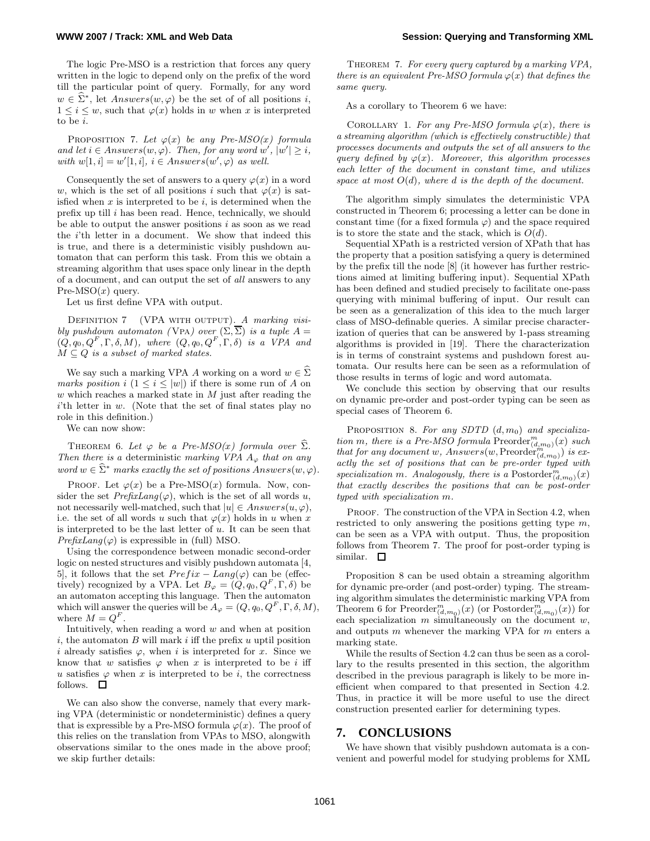The logic Pre-MSO is a restriction that forces any query written in the logic to depend only on the prefix of the word till the particular point of query. Formally, for any word  $w \in \hat{\Sigma}^*$ , let  $Answers(w, \varphi)$  be the set of of all positions i,  $1 \leq i \leq w$ , such that  $\varphi(x)$  holds in w when x is interpreted to be i.

PROPOSITION 7. Let  $\varphi(x)$  be any Pre-MSO(x) formula and let  $i \in Answers(w, \varphi)$ . Then, for any word  $w'$ ,  $|w'| \geq i$ , with  $w[1, i] = w'[1, i], i \in Answers(w', \varphi)$  as well.

Consequently the set of answers to a query  $\varphi(x)$  in a word w, which is the set of all positions i such that  $\varphi(x)$  is satisfied when  $x$  is interpreted to be  $i$ , is determined when the prefix up till i has been read. Hence, technically, we should be able to output the answer positions  $i$  as soon as we read the i'th letter in a document. We show that indeed this is true, and there is a deterministic visibly pushdown automaton that can perform this task. From this we obtain a streaming algorithm that uses space only linear in the depth of a document, and can output the set of all answers to any Pre-MSO $(x)$  query.

Let us first define VPA with output.

DEFINITION 7 (VPA WITH OUTPUT). A marking visibly pushdown automaton (VPA) over  $(\Sigma, \Sigma)$  is a tuple  $A =$  $(Q, q_0, Q^F, \Gamma, \delta, M)$ , where  $(Q, q_0, Q^F, \Gamma, \delta)$  is a VPA and  $M \subseteq Q$  is a subset of marked states.

We say such a marking VPA A working on a word  $w \in \widehat{\Sigma}$ marks position i  $(1 \leq i \leq |w|)$  if there is some run of A on w which reaches a marked state in  $M$  just after reading the  $i$ <sup>th</sup> letter in  $w$ . (Note that the set of final states play no role in this definition.)

We can now show:

THEOREM 6. Let  $\varphi$  be a Pre-MSO(x) formula over  $\hat{\Sigma}$ . Then there is a deterministic marking VPA  $A_{\varphi}$  that on any word  $w \in \hat{\Sigma}^*$  marks exactly the set of positions  $Answers(w, \varphi)$ .

PROOF. Let  $\varphi(x)$  be a Pre-MSO(x) formula. Now, consider the set  $PrefixLang(\varphi)$ , which is the set of all words u, not necessarily well-matched, such that  $|u| \in Answers(u, \varphi)$ , i.e. the set of all words u such that  $\varphi(x)$  holds in u when x is interpreted to be the last letter of  $u$ . It can be seen that  $PrefixLang(\varphi)$  is expressible in (full) MSO.

Using the correspondence between monadic second-order logic on nested structures and visibly pushdown automata [4, 5], it follows that the set  $Prefix - Lang(\varphi)$  can be (effectively) recognized by a VPA. Let  $B_{\varphi} = (Q, q_0, Q^F, \Gamma, \delta)$  be an automaton accepting this language. Then the automaton which will answer the queries will be  $A_{\varphi} = (Q, q_0, Q^F, \Gamma, \delta, M),$ where  $M = Q^F$ .

Intuitively, when reading a word  $w$  and when at position  $i$ , the automaton  $B$  will mark  $i$  iff the prefix  $u$  uptil position i already satisfies  $\varphi$ , when i is interpreted for x. Since we know that w satisfies  $\varphi$  when x is interpreted to be i iff u satisfies  $\varphi$  when x is interpreted to be i, the correctness follows.  $\square$ 

We can also show the converse, namely that every marking VPA (deterministic or nondeterministic) defines a query that is expressible by a Pre-MSO formula  $\varphi(x)$ . The proof of this relies on the translation from VPAs to MSO, alongwith observations similar to the ones made in the above proof; we skip further details:

THEOREM 7. For every query captured by a marking VPA, there is an equivalent Pre-MSO formula  $\varphi(x)$  that defines the same query.

As a corollary to Theorem 6 we have:

COROLLARY 1. For any Pre-MSO formula  $\varphi(x)$ , there is a streaming algorithm (which is effectively constructible) that processes documents and outputs the set of all answers to the query defined by  $\varphi(x)$ . Moreover, this algorithm processes each letter of the document in constant time, and utilizes space at most  $O(d)$ , where d is the depth of the document.

The algorithm simply simulates the deterministic VPA constructed in Theorem 6; processing a letter can be done in constant time (for a fixed formula  $\varphi$ ) and the space required is to store the state and the stack, which is  $O(d)$ .

Sequential XPath is a restricted version of XPath that has the property that a position satisfying a query is determined by the prefix till the node [8] (it however has further restrictions aimed at limiting buffering input). Sequential XPath has been defined and studied precisely to facilitate one-pass querying with minimal buffering of input. Our result can be seen as a generalization of this idea to the much larger class of MSO-definable queries. A similar precise characterization of queries that can be answered by 1-pass streaming algorithms is provided in [19]. There the characterization is in terms of constraint systems and pushdown forest automata. Our results here can be seen as a reformulation of those results in terms of logic and word automata.

We conclude this section by observing that our results on dynamic pre-order and post-order typing can be seen as special cases of Theorem 6.

PROPOSITION 8. For any SDTD  $(d, m_0)$  and specialization m, there is a Pre-MSO formula  $Preorder^m_{(d,m_0)}(x)$  such that for any document w,  $Answers(w,Preorder_{(d,m_0)}^{m})$  is exactly the set of positions that can be pre-order typed with specialization m. Analogously, there is a  $\text{Postorder}^m_{(d,m_0)}(x)$ that exactly describes the positions that can be post-order typed with specialization m.

PROOF. The construction of the VPA in Section 4.2, when restricted to only answering the positions getting type  $m$ , can be seen as a VPA with output. Thus, the proposition follows from Theorem 7. The proof for post-order typing is similar.  $\square$ 

Proposition 8 can be used obtain a streaming algorithm for dynamic pre-order (and post-order) typing. The streaming algorithm simulates the deterministic marking VPA from Theorem 6 for Preorder $^m_{(d,m_0)}(x)$  (or Postorder $^m_{(d,m_0)}(x)$ ) for each specialization  $m$  simultaneously on the document  $w$ , and outputs  $m$  whenever the marking VPA for  $m$  enters a marking state.

While the results of Section 4.2 can thus be seen as a corollary to the results presented in this section, the algorithm described in the previous paragraph is likely to be more inefficient when compared to that presented in Section 4.2. Thus, in practice it will be more useful to use the direct construction presented earlier for determining types.

#### **7. CONCLUSIONS**

We have shown that visibly pushdown automata is a convenient and powerful model for studying problems for XML